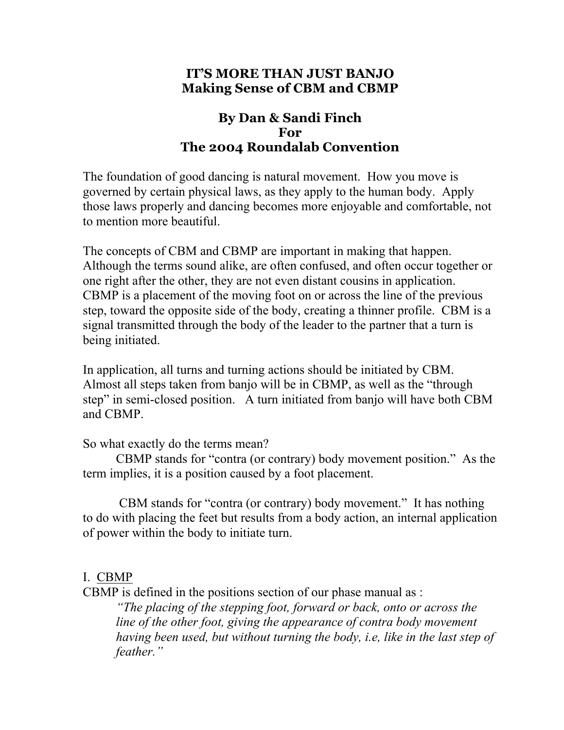## **IT'S MORE THAN JUST BANJO Making Sense of CBM and CBMP**

# **By Dan & Sandi Finch For The 2004 Roundalab Convention**

The foundation of good dancing is natural movement. How you move is governed by certain physical laws, as they apply to the human body. Apply those laws properly and dancing becomes more enjoyable and comfortable, not to mention more beautiful.

The concepts of CBM and CBMP are important in making that happen. Although the terms sound alike, are often confused, and often occur together or one right after the other, they are not even distant cousins in application. CBMP is a placement of the moving foot on or across the line of the previous step, toward the opposite side of the body, creating a thinner profile. CBM is a signal transmitted through the body of the leader to the partner that a turn is being initiated.

In application, all turns and turning actions should be initiated by CBM. Almost all steps taken from banjo will be in CBMP, as well as the "through step" in semi-closed position. A turn initiated from banjo will have both CBM and CBMP.

#### So what exactly do the terms mean?

CBMP stands for "contra (or contrary) body movement position." As the term implies, it is a position caused by a foot placement.

 CBM stands for "contra (or contrary) body movement." It has nothing to do with placing the feet but results from a body action, an internal application of power within the body to initiate turn.

# I. CBMP

CBMP is defined in the positions section of our phase manual as :

*"The placing of the stepping foot, forward or back, onto or across the line of the other foot, giving the appearance of contra body movement having been used, but without turning the body, i.e, like in the last step of feather."*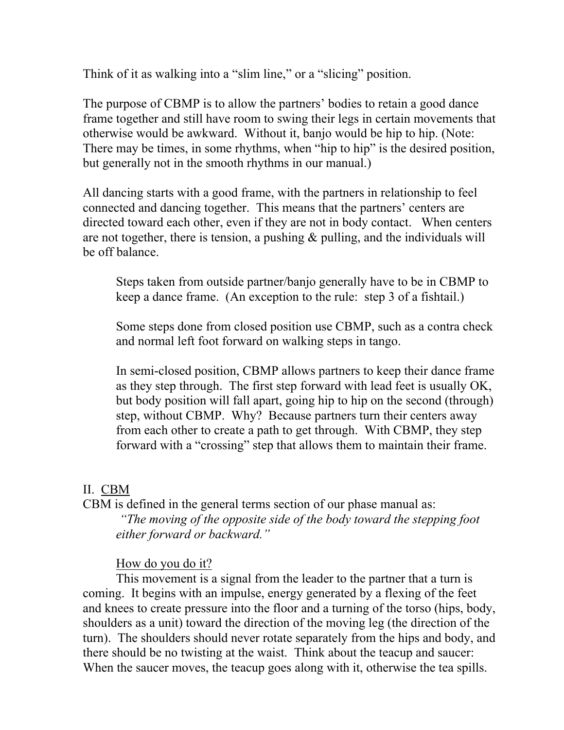Think of it as walking into a "slim line," or a "slicing" position.

The purpose of CBMP is to allow the partners' bodies to retain a good dance frame together and still have room to swing their legs in certain movements that otherwise would be awkward. Without it, banjo would be hip to hip. (Note: There may be times, in some rhythms, when "hip to hip" is the desired position, but generally not in the smooth rhythms in our manual.)

All dancing starts with a good frame, with the partners in relationship to feel connected and dancing together. This means that the partners' centers are directed toward each other, even if they are not in body contact. When centers are not together, there is tension, a pushing  $\&$  pulling, and the individuals will be off balance.

Steps taken from outside partner/banjo generally have to be in CBMP to keep a dance frame. (An exception to the rule: step 3 of a fishtail.)

Some steps done from closed position use CBMP, such as a contra check and normal left foot forward on walking steps in tango.

In semi-closed position, CBMP allows partners to keep their dance frame as they step through. The first step forward with lead feet is usually OK, but body position will fall apart, going hip to hip on the second (through) step, without CBMP. Why? Because partners turn their centers away from each other to create a path to get through. With CBMP, they step forward with a "crossing" step that allows them to maintain their frame.

### II. CBM

CBM is defined in the general terms section of our phase manual as: *"The moving of the opposite side of the body toward the stepping foot either forward or backward."* 

How do you do it?

This movement is a signal from the leader to the partner that a turn is coming. It begins with an impulse, energy generated by a flexing of the feet and knees to create pressure into the floor and a turning of the torso (hips, body, shoulders as a unit) toward the direction of the moving leg (the direction of the turn). The shoulders should never rotate separately from the hips and body, and there should be no twisting at the waist. Think about the teacup and saucer: When the saucer moves, the teacup goes along with it, otherwise the tea spills.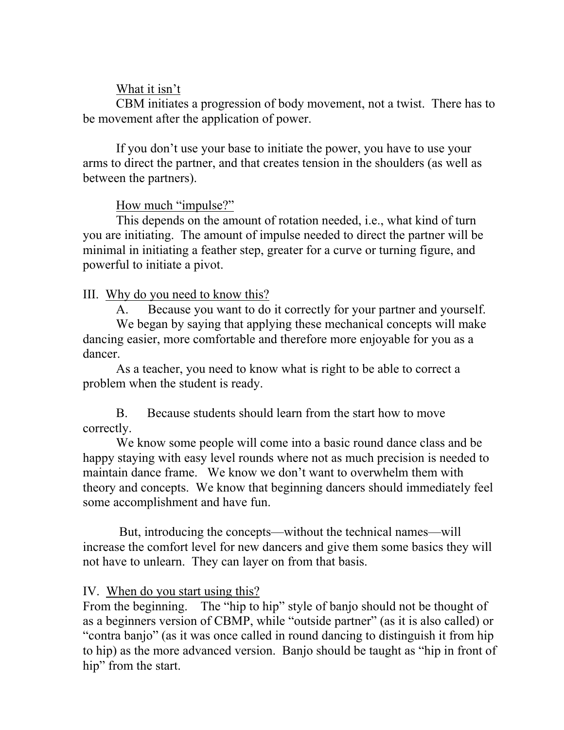### What it isn't

CBM initiates a progression of body movement, not a twist. There has to be movement after the application of power.

If you don't use your base to initiate the power, you have to use your arms to direct the partner, and that creates tension in the shoulders (as well as between the partners).

## How much "impulse?"

This depends on the amount of rotation needed, i.e., what kind of turn you are initiating. The amount of impulse needed to direct the partner will be minimal in initiating a feather step, greater for a curve or turning figure, and powerful to initiate a pivot.

## III. Why do you need to know this?

A. Because you want to do it correctly for your partner and yourself. We began by saying that applying these mechanical concepts will make dancing easier, more comfortable and therefore more enjoyable for you as a dancer.

As a teacher, you need to know what is right to be able to correct a problem when the student is ready.

B. Because students should learn from the start how to move correctly.

We know some people will come into a basic round dance class and be happy staying with easy level rounds where not as much precision is needed to maintain dance frame. We know we don't want to overwhelm them with theory and concepts. We know that beginning dancers should immediately feel some accomplishment and have fun.

 But, introducing the concepts—without the technical names—will increase the comfort level for new dancers and give them some basics they will not have to unlearn. They can layer on from that basis.

# IV. When do you start using this?

From the beginning. The "hip to hip" style of banjo should not be thought of as a beginners version of CBMP, while "outside partner" (as it is also called) or "contra banjo" (as it was once called in round dancing to distinguish it from hip to hip) as the more advanced version. Banjo should be taught as "hip in front of hip" from the start.